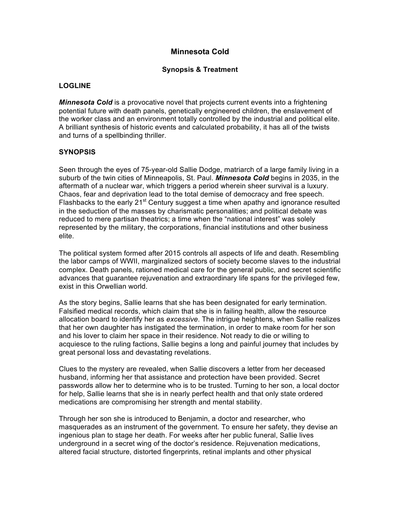## **Minnesota Cold**

## **Synopsis & Treatment**

## **LOGLINE**

*Minnesota Cold* is a provocative novel that projects current events into a frightening potential future with death panels, genetically engineered children, the enslavement of the worker class and an environment totally controlled by the industrial and political elite. A brilliant synthesis of historic events and calculated probability, it has all of the twists and turns of a spellbinding thriller.

## **SYNOPSIS**

Seen through the eyes of 75-year-old Sallie Dodge, matriarch of a large family living in a suburb of the twin cities of Minneapolis, St. Paul. *Minnesota Cold* begins in 2035, in the aftermath of a nuclear war, which triggers a period wherein sheer survival is a luxury. Chaos, fear and deprivation lead to the total demise of democracy and free speech. Flashbacks to the early 21<sup>st</sup> Century suggest a time when apathy and ignorance resulted in the seduction of the masses by charismatic personalities; and political debate was reduced to mere partisan theatrics; a time when the "national interest" was solely represented by the military, the corporations, financial institutions and other business elite.

The political system formed after 2015 controls all aspects of life and death. Resembling the labor camps of WWII, marginalized sectors of society become slaves to the industrial complex. Death panels, rationed medical care for the general public, and secret scientific advances that guarantee rejuvenation and extraordinary life spans for the privileged few, exist in this Orwellian world.

As the story begins, Sallie learns that she has been designated for early termination. Falsified medical records, which claim that she is in failing health, allow the resource allocation board to identify her as *excessive*. The intrigue heightens, when Sallie realizes that her own daughter has instigated the termination, in order to make room for her son and his lover to claim her space in their residence. Not ready to die or willing to acquiesce to the ruling factions, Sallie begins a long and painful journey that includes by great personal loss and devastating revelations.

Clues to the mystery are revealed, when Sallie discovers a letter from her deceased husband, informing her that assistance and protection have been provided. Secret passwords allow her to determine who is to be trusted. Turning to her son, a local doctor for help, Sallie learns that she is in nearly perfect health and that only state ordered medications are compromising her strength and mental stability.

Through her son she is introduced to Benjamin, a doctor and researcher, who masquerades as an instrument of the government. To ensure her safety, they devise an ingenious plan to stage her death. For weeks after her public funeral, Sallie lives underground in a secret wing of the doctor's residence. Rejuvenation medications, altered facial structure, distorted fingerprints, retinal implants and other physical